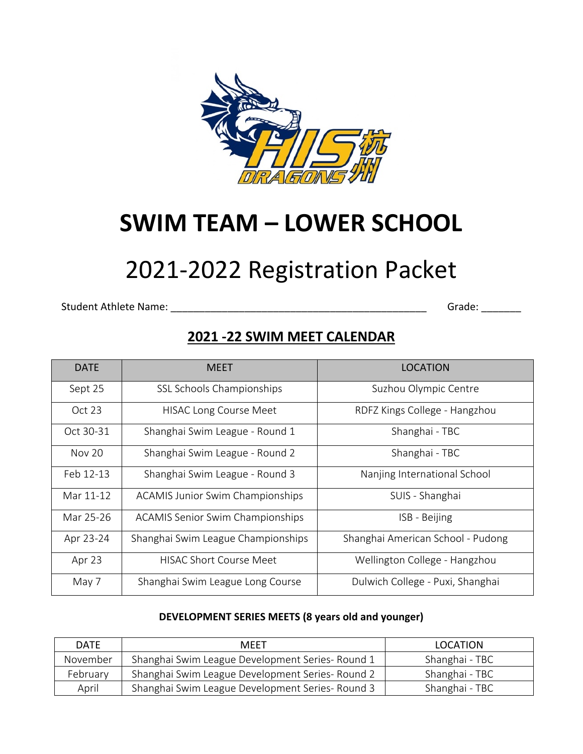

# **SWIM TEAM – LOWER SCHOOL**

# 2021-2022 Registration Packet

Student Athlete Name: \_\_\_\_\_\_\_\_\_\_\_\_\_\_\_\_\_\_\_\_\_\_\_\_\_\_\_\_\_\_\_\_\_\_\_\_\_\_\_\_\_\_\_\_\_ Grade: \_\_\_\_\_\_\_

### **2021 -22 SWIM MEET CALENDAR**

| <b>DATE</b>   | <b>MEET</b>                             | LOCATION                          |
|---------------|-----------------------------------------|-----------------------------------|
| Sept 25       | SSL Schools Championships               | Suzhou Olympic Centre             |
| Oct 23        | <b>HISAC Long Course Meet</b>           | RDFZ Kings College - Hangzhou     |
| Oct 30-31     | Shanghai Swim League - Round 1          | Shanghai - TBC                    |
| <b>Nov 20</b> | Shanghai Swim League - Round 2          | Shanghai - TBC                    |
| Feb 12-13     | Shanghai Swim League - Round 3          | Nanjing International School      |
| Mar 11-12     | <b>ACAMIS Junior Swim Championships</b> | SUIS - Shanghai                   |
| Mar 25-26     | <b>ACAMIS Senior Swim Championships</b> | ISB - Beijing                     |
| Apr 23-24     | Shanghai Swim League Championships      | Shanghai American School - Pudong |
| Apr 23        | <b>HISAC Short Course Meet</b>          | Wellington College - Hangzhou     |
| May 7         | Shanghai Swim League Long Course        | Dulwich College - Puxi, Shanghai  |

#### **DEVELOPMENT SERIES MEETS (8 years old and younger)**

| <b>DATE</b> | <b>MEET</b>                                      | LOCATION       |
|-------------|--------------------------------------------------|----------------|
| November    | Shanghai Swim League Development Series- Round 1 | Shanghai - TBC |
| February    | Shanghai Swim League Development Series- Round 2 | Shanghai - TBC |
| April       | Shanghai Swim League Development Series- Round 3 | Shanghai - TBC |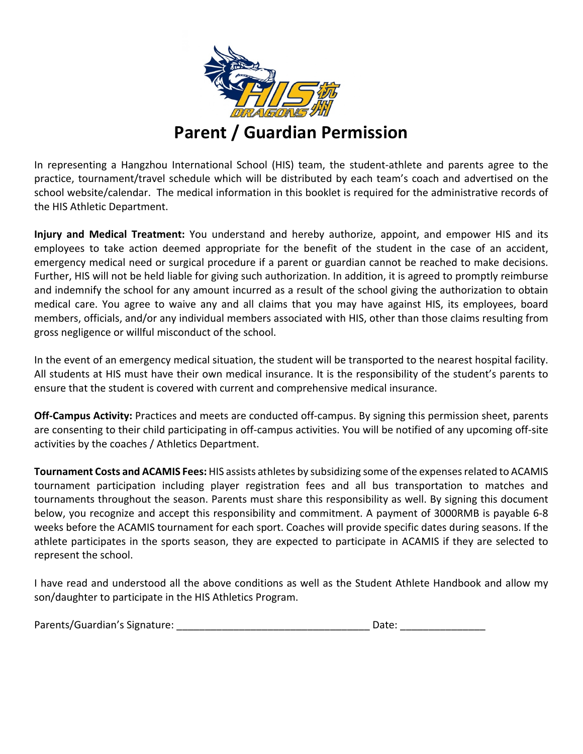

### **Parent / Guardian Permission**

In representing a Hangzhou International School (HIS) team, the student-athlete and parents agree to the practice, tournament/travel schedule which will be distributed by each team's coach and advertised on the school website/calendar. The medical information in this booklet is required for the administrative records of the HIS Athletic Department.

**Injury and Medical Treatment:** You understand and hereby authorize, appoint, and empower HIS and its employees to take action deemed appropriate for the benefit of the student in the case of an accident, emergency medical need or surgical procedure if a parent or guardian cannot be reached to make decisions. Further, HIS will not be held liable for giving such authorization. In addition, it is agreed to promptly reimburse and indemnify the school for any amount incurred as a result of the school giving the authorization to obtain medical care. You agree to waive any and all claims that you may have against HIS, its employees, board members, officials, and/or any individual members associated with HIS, other than those claims resulting from gross negligence or willful misconduct of the school.

In the event of an emergency medical situation, the student will be transported to the nearest hospital facility. All students at HIS must have their own medical insurance. It is the responsibility of the student's parents to ensure that the student is covered with current and comprehensive medical insurance.

**Off-Campus Activity:** Practices and meets are conducted off-campus. By signing this permission sheet, parents are consenting to their child participating in off-campus activities. You will be notified of any upcoming off-site activities by the coaches / Athletics Department.

**Tournament Costs and ACAMIS Fees:** HIS assists athletes by subsidizing some of the expenses related to ACAMIS tournament participation including player registration fees and all bus transportation to matches and tournaments throughout the season. Parents must share this responsibility as well. By signing this document below, you recognize and accept this responsibility and commitment. A payment of 3000RMB is payable 6-8 weeks before the ACAMIS tournament for each sport. Coaches will provide specific dates during seasons. If the athlete participates in the sports season, they are expected to participate in ACAMIS if they are selected to represent the school.

I have read and understood all the above conditions as well as the Student Athlete Handbook and allow my son/daughter to participate in the HIS Athletics Program.

| Parents/Guardian's Signature: |  | Date: |  |
|-------------------------------|--|-------|--|
|-------------------------------|--|-------|--|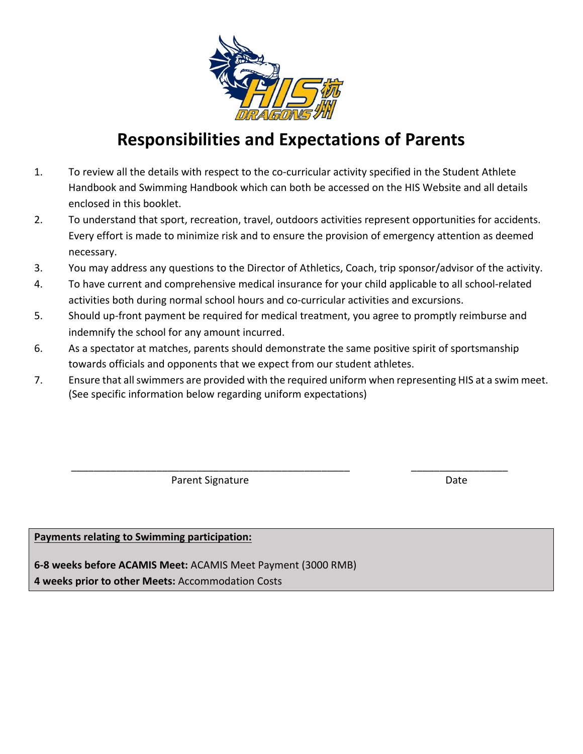

### **Responsibilities and Expectations of Parents**

- 1. To review all the details with respect to the co-curricular activity specified in the Student Athlete Handbook and Swimming Handbook which can both be accessed on the HIS Website and all details enclosed in this booklet.
- 2. To understand that sport, recreation, travel, outdoors activities represent opportunities for accidents. Every effort is made to minimize risk and to ensure the provision of emergency attention as deemed necessary.
- 3. You may address any questions to the Director of Athletics, Coach, trip sponsor/advisor of the activity.
- 4. To have current and comprehensive medical insurance for your child applicable to all school-related activities both during normal school hours and co-curricular activities and excursions.
- 5. Should up-front payment be required for medical treatment, you agree to promptly reimburse and indemnify the school for any amount incurred.
- 6. As a spectator at matches, parents should demonstrate the same positive spirit of sportsmanship towards officials and opponents that we expect from our student athletes.
- 7. Ensure that all swimmers are provided with the required uniform when representing HIS at a swim meet. (See specific information below regarding uniform expectations)

\_\_\_\_\_\_\_\_\_\_\_\_\_\_\_\_\_\_\_\_\_\_\_\_\_\_\_\_\_\_\_\_\_\_\_\_\_\_\_\_\_\_\_\_\_\_\_\_\_ \_\_\_\_\_\_\_\_\_\_\_\_\_\_\_\_\_

Parent Signature Date Date

#### **Payments relating to Swimming participation:**

**6-8 weeks before ACAMIS Meet:** ACAMIS Meet Payment (3000 RMB)

**4 weeks prior to other Meets:** Accommodation Costs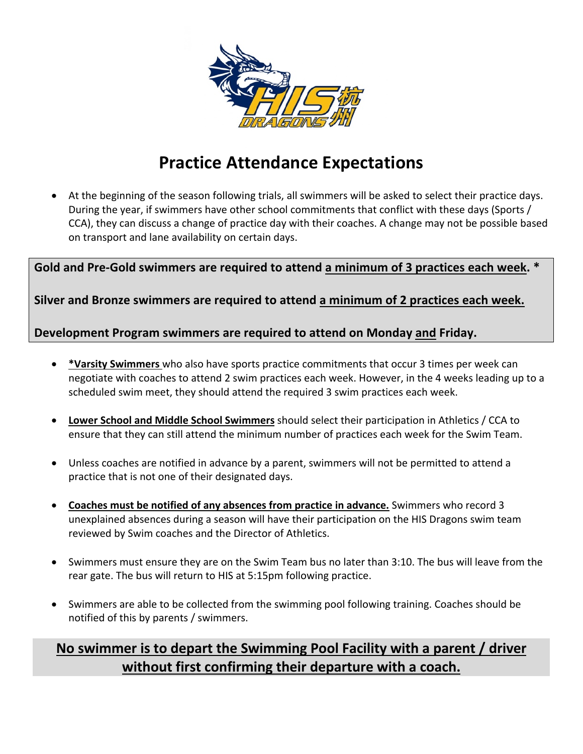

### **Practice Attendance Expectations**

• At the beginning of the season following trials, all swimmers will be asked to select their practice days. During the year, if swimmers have other school commitments that conflict with these days (Sports / CCA), they can discuss a change of practice day with their coaches. A change may not be possible based on transport and lane availability on certain days.

**Gold and Pre-Gold swimmers are required to attend a minimum of 3 practices each week. \***

**Silver and Bronze swimmers are required to attend a minimum of 2 practices each week.**

**Development Program swimmers are required to attend on Monday and Friday.**

- **\*Varsity Swimmers** who also have sports practice commitments that occur 3 times per week can negotiate with coaches to attend 2 swim practices each week. However, in the 4 weeks leading up to a scheduled swim meet, they should attend the required 3 swim practices each week.
- **Lower School and Middle School Swimmers** should select their participation in Athletics / CCA to ensure that they can still attend the minimum number of practices each week for the Swim Team.
- Unless coaches are notified in advance by a parent, swimmers will not be permitted to attend a practice that is not one of their designated days.
- **Coaches must be notified of any absences from practice in advance.** Swimmers who record 3 unexplained absences during a season will have their participation on the HIS Dragons swim team reviewed by Swim coaches and the Director of Athletics.
- Swimmers must ensure they are on the Swim Team bus no later than 3:10. The bus will leave from the rear gate. The bus will return to HIS at 5:15pm following practice.
- Swimmers are able to be collected from the swimming pool following training. Coaches should be notified of this by parents / swimmers.

### **No swimmer is to depart the Swimming Pool Facility with a parent / driver without first confirming their departure with a coach.**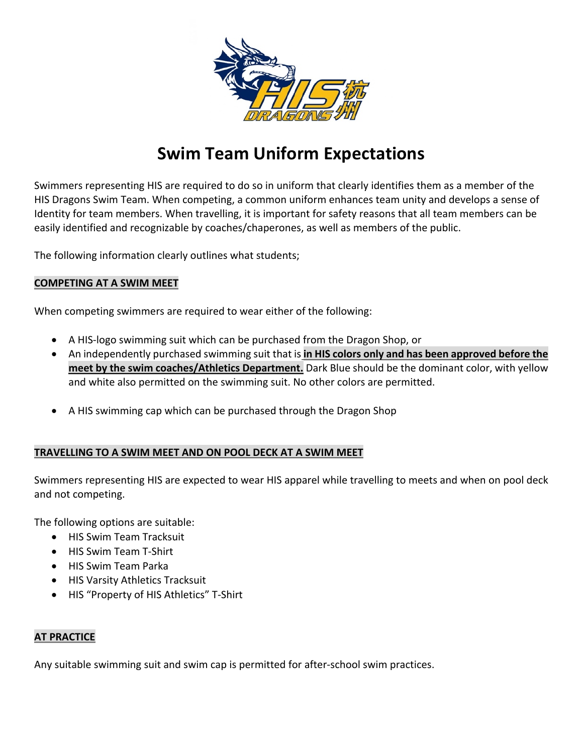

### **Swim Team Uniform Expectations**

Swimmers representing HIS are required to do so in uniform that clearly identifies them as a member of the HIS Dragons Swim Team. When competing, a common uniform enhances team unity and develops a sense of Identity for team members. When travelling, it is important for safety reasons that all team members can be easily identified and recognizable by coaches/chaperones, as well as members of the public.

The following information clearly outlines what students;

#### **COMPETING AT A SWIM MEET**

When competing swimmers are required to wear either of the following:

- A HIS-logo swimming suit which can be purchased from the Dragon Shop, or
- An independently purchased swimming suit that is **in HIS colors only and has been approved before the meet by the swim coaches/Athletics Department.** Dark Blue should be the dominant color, with yellow and white also permitted on the swimming suit. No other colors are permitted.
- A HIS swimming cap which can be purchased through the Dragon Shop

#### **TRAVELLING TO A SWIM MEET AND ON POOL DECK AT A SWIM MEET**

Swimmers representing HIS are expected to wear HIS apparel while travelling to meets and when on pool deck and not competing.

The following options are suitable:

- HIS Swim Team Tracksuit
- HIS Swim Team T-Shirt
- HIS Swim Team Parka
- HIS Varsity Athletics Tracksuit
- HIS "Property of HIS Athletics" T-Shirt

#### **AT PRACTICE**

Any suitable swimming suit and swim cap is permitted for after-school swim practices.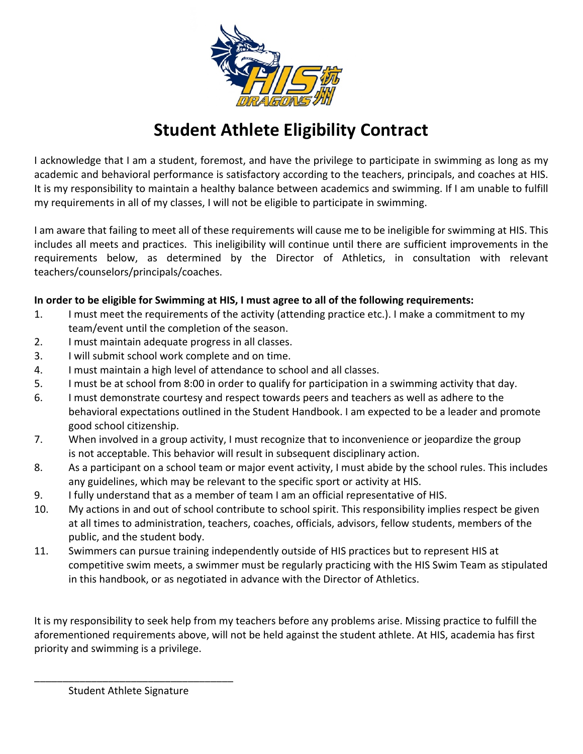

### **Student Athlete Eligibility Contract**

I acknowledge that I am a student, foremost, and have the privilege to participate in swimming as long as my academic and behavioral performance is satisfactory according to the teachers, principals, and coaches at HIS. It is my responsibility to maintain a healthy balance between academics and swimming. If I am unable to fulfill my requirements in all of my classes, I will not be eligible to participate in swimming.

I am aware that failing to meet all of these requirements will cause me to be ineligible for swimming at HIS. This includes all meets and practices. This ineligibility will continue until there are sufficient improvements in the requirements below, as determined by the Director of Athletics, in consultation with relevant teachers/counselors/principals/coaches.

#### **In order to be eligible for Swimming at HIS, I must agree to all of the following requirements:**

- 1. I must meet the requirements of the activity (attending practice etc.). I make a commitment to my team/event until the completion of the season.
- 2. I must maintain adequate progress in all classes.
- 3. I will submit school work complete and on time.
- 4. I must maintain a high level of attendance to school and all classes.
- 5. I must be at school from 8:00 in order to qualify for participation in a swimming activity that day.
- 6. I must demonstrate courtesy and respect towards peers and teachers as well as adhere to the behavioral expectations outlined in the Student Handbook. I am expected to be a leader and promote good school citizenship.
- 7. When involved in a group activity, I must recognize that to inconvenience or jeopardize the group is not acceptable. This behavior will result in subsequent disciplinary action.
- 8. As a participant on a school team or major event activity, I must abide by the school rules. This includes any guidelines, which may be relevant to the specific sport or activity at HIS.
- 9. I fully understand that as a member of team I am an official representative of HIS.
- 10. My actions in and out of school contribute to school spirit. This responsibility implies respect be given at all times to administration, teachers, coaches, officials, advisors, fellow students, members of the public, and the student body.
- 11. Swimmers can pursue training independently outside of HIS practices but to represent HIS at competitive swim meets, a swimmer must be regularly practicing with the HIS Swim Team as stipulated in this handbook, or as negotiated in advance with the Director of Athletics.

It is my responsibility to seek help from my teachers before any problems arise. Missing practice to fulfill the aforementioned requirements above, will not be held against the student athlete. At HIS, academia has first priority and swimming is a privilege.

\_\_\_\_\_\_\_\_\_\_\_\_\_\_\_\_\_\_\_\_\_\_\_\_\_\_\_\_\_\_\_\_\_\_\_ Student Athlete Signature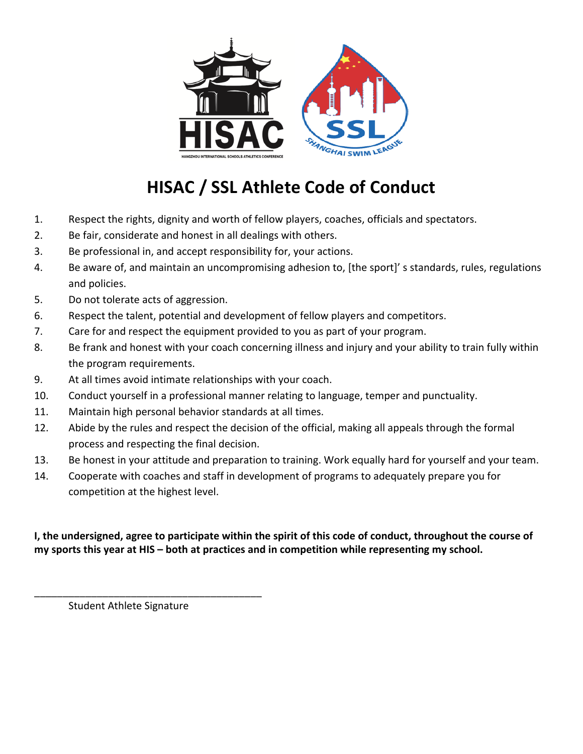

# **HISAC / SSL Athlete Code of Conduct**

- 1. Respect the rights, dignity and worth of fellow players, coaches, officials and spectators.
- 2. Be fair, considerate and honest in all dealings with others.
- 3. Be professional in, and accept responsibility for, your actions.
- 4. Be aware of, and maintain an uncompromising adhesion to, [the sport]' s standards, rules, regulations and policies.
- 5. Do not tolerate acts of aggression.
- 6. Respect the talent, potential and development of fellow players and competitors.
- 7. Care for and respect the equipment provided to you as part of your program.
- 8. Be frank and honest with your coach concerning illness and injury and your ability to train fully within the program requirements.
- 9. At all times avoid intimate relationships with your coach.
- 10. Conduct yourself in a professional manner relating to language, temper and punctuality.
- 11. Maintain high personal behavior standards at all times.
- 12. Abide by the rules and respect the decision of the official, making all appeals through the formal process and respecting the final decision.
- 13. Be honest in your attitude and preparation to training. Work equally hard for yourself and your team.
- 14. Cooperate with coaches and staff in development of programs to adequately prepare you for competition at the highest level.

#### **I, the undersigned, agree to participate within the spirit of this code of conduct, throughout the course of my sports this year at HIS – both at practices and in competition while representing my school.**

Student Athlete Signature

\_\_\_\_\_\_\_\_\_\_\_\_\_\_\_\_\_\_\_\_\_\_\_\_\_\_\_\_\_\_\_\_\_\_\_\_\_\_\_\_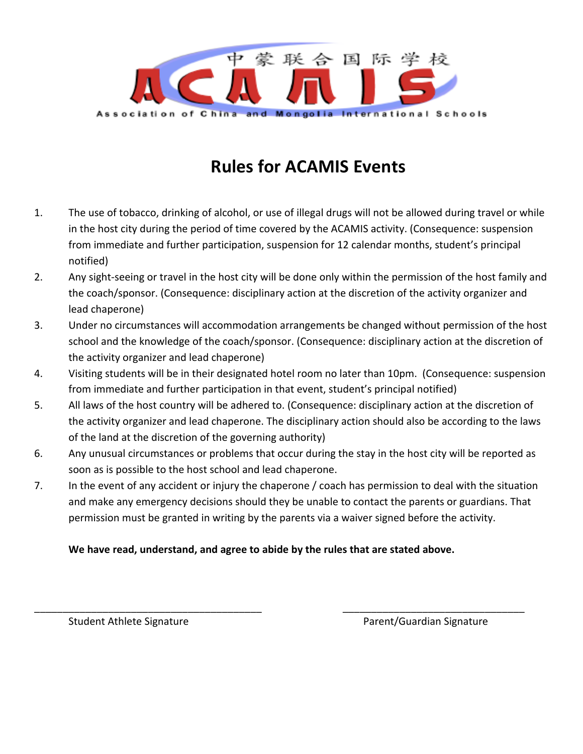

### **Rules for ACAMIS Events**

- 1. The use of tobacco, drinking of alcohol, or use of illegal drugs will not be allowed during travel or while in the host city during the period of time covered by the ACAMIS activity. (Consequence: suspension from immediate and further participation, suspension for 12 calendar months, student's principal notified)
- 2. Any sight-seeing or travel in the host city will be done only within the permission of the host family and the coach/sponsor. (Consequence: disciplinary action at the discretion of the activity organizer and lead chaperone)
- 3. Under no circumstances will accommodation arrangements be changed without permission of the host school and the knowledge of the coach/sponsor. (Consequence: disciplinary action at the discretion of the activity organizer and lead chaperone)
- 4. Visiting students will be in their designated hotel room no later than 10pm. (Consequence: suspension from immediate and further participation in that event, student's principal notified)
- 5. All laws of the host country will be adhered to. (Consequence: disciplinary action at the discretion of the activity organizer and lead chaperone. The disciplinary action should also be according to the laws of the land at the discretion of the governing authority)
- 6. Any unusual circumstances or problems that occur during the stay in the host city will be reported as soon as is possible to the host school and lead chaperone.
- 7. In the event of any accident or injury the chaperone / coach has permission to deal with the situation and make any emergency decisions should they be unable to contact the parents or guardians. That permission must be granted in writing by the parents via a waiver signed before the activity.

\_\_\_\_\_\_\_\_\_\_\_\_\_\_\_\_\_\_\_\_\_\_\_\_\_\_\_\_\_\_\_\_\_\_\_\_\_\_\_\_ \_\_\_\_\_\_\_\_\_\_\_\_\_\_\_\_\_\_\_\_\_\_\_\_\_\_\_\_\_\_\_\_

#### **We have read, understand, and agree to abide by the rules that are stated above.**

Student Athlete Signature **Parent/Guardian Signature** Parent/Guardian Signature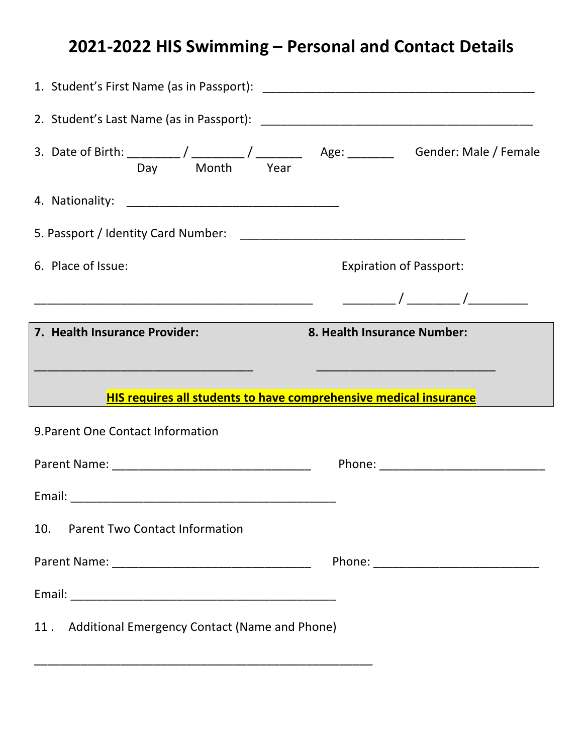## **2021-2022 HIS Swimming – Personal and Contact Details**

| 6. Place of Issue:                                                       | <b>Expiration of Passport:</b>                                                                                       |
|--------------------------------------------------------------------------|----------------------------------------------------------------------------------------------------------------------|
|                                                                          |                                                                                                                      |
|                                                                          | 8. Health Insurance Number:                                                                                          |
| 7. Health Insurance Provider:                                            |                                                                                                                      |
|                                                                          | <u> 1980 - Johann John Harry, mars eta bat eta bat eta bat eta bat ez arteko erroman ez arteko harta eta bat eta</u> |
| <b>HIS requires all students to have comprehensive medical insurance</b> |                                                                                                                      |
| 9. Parent One Contact Information                                        |                                                                                                                      |
|                                                                          |                                                                                                                      |
|                                                                          |                                                                                                                      |
| 10.<br><b>Parent Two Contact Information</b>                             |                                                                                                                      |
|                                                                          |                                                                                                                      |
|                                                                          |                                                                                                                      |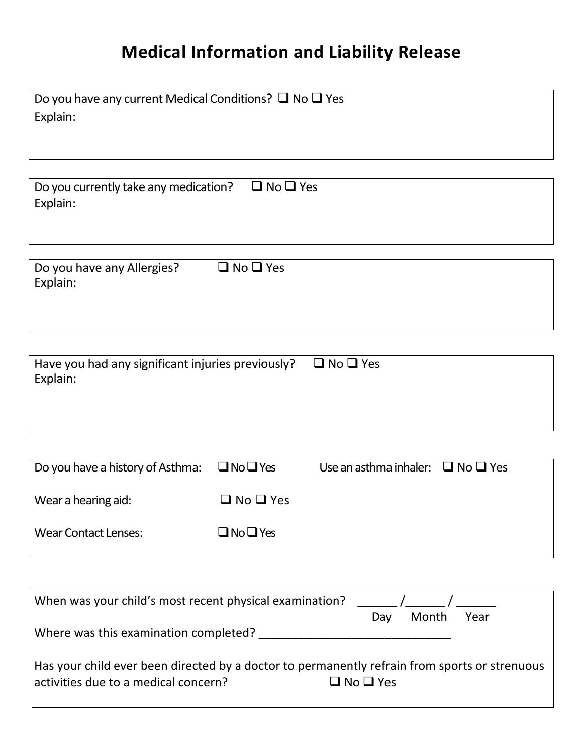# **Medical Information and Liability Release**

| Do you have any current Medical Conditions? $\Box$ No $\Box$ Yes<br>Explain: |
|------------------------------------------------------------------------------|
|                                                                              |
| $\Box$ No $\Box$ Yes<br>Do you currently take any medication?<br>Explain:    |
| $\Box$ No $\Box$ Yes<br>Do you have any Allergies?<br>Explain:               |

| Have you had any significant injuries previously?<br>Explain: | $\Box$ No $\Box$ Yes |
|---------------------------------------------------------------|----------------------|
|                                                               |                      |

| Do you have a history of Asthma: $\Box$ No $\Box$ Yes |                      | Use an asthma inhaler: $\Box$ No $\Box$ Yes |  |
|-------------------------------------------------------|----------------------|---------------------------------------------|--|
| Wear a hearing aid:                                   | $\Box$ No $\Box$ Yes |                                             |  |
| <b>Wear Contact Lenses:</b>                           | $\Box$ No $\Box$ Yes |                                             |  |

| When was your child's most recent physical examination?                                       |                      |
|-----------------------------------------------------------------------------------------------|----------------------|
|                                                                                               | Month<br>Year<br>Day |
| Where was this examination completed?                                                         |                      |
|                                                                                               |                      |
| Has your child ever been directed by a doctor to permanently refrain from sports or strenuous |                      |
| activities due to a medical concern?                                                          | $\Box$ No $\Box$ Yes |
|                                                                                               |                      |